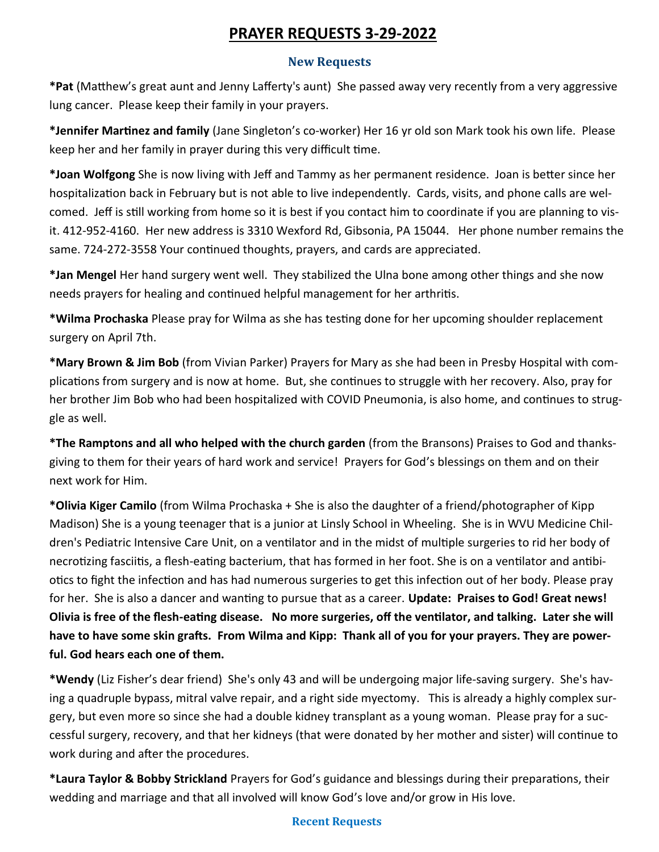# **PRAYER REQUESTS 3-29-2022**

## **New Requests**

**\*Pat** (Matthew's great aunt and Jenny Lafferty's aunt) She passed away very recently from a very aggressive lung cancer. Please keep their family in your prayers.

**\*Jennifer Martinez and family** (Jane Singleton's co-worker) Her 16 yr old son Mark took his own life. Please keep her and her family in prayer during this very difficult time.

**\*Joan Wolfgong** She is now living with Jeff and Tammy as her permanent residence. Joan is better since her hospitalization back in February but is not able to live independently. Cards, visits, and phone calls are welcomed. Jeff is still working from home so it is best if you contact him to coordinate if you are planning to visit. 412-952-4160. Her new address is 3310 Wexford Rd, Gibsonia, PA 15044. Her phone number remains the same. 724-272-3558 Your continued thoughts, prayers, and cards are appreciated.

**\*Jan Mengel** Her hand surgery went well. They stabilized the Ulna bone among other things and she now needs prayers for healing and continued helpful management for her arthritis.

**\*Wilma Prochaska** Please pray for Wilma as she has testing done for her upcoming shoulder replacement surgery on April 7th.

**\*Mary Brown & Jim Bob** (from Vivian Parker) Prayers for Mary as she had been in Presby Hospital with complications from surgery and is now at home. But, she continues to struggle with her recovery. Also, pray for her brother Jim Bob who had been hospitalized with COVID Pneumonia, is also home, and continues to struggle as well.

**\*The Ramptons and all who helped with the church garden** (from the Bransons) Praises to God and thanksgiving to them for their years of hard work and service! Prayers for God's blessings on them and on their next work for Him.

**\*Olivia Kiger Camilo** (from Wilma Prochaska + She is also the daughter of a friend/photographer of Kipp Madison) She is a young teenager that is a junior at Linsly School in Wheeling. She is in WVU Medicine Children's Pediatric Intensive Care Unit, on a ventilator and in the midst of multiple surgeries to rid her body of necrotizing fasciitis, a flesh-eating bacterium, that has formed in her foot. She is on a ventilator and antibiotics to fight the infection and has had numerous surgeries to get this infection out of her body. Please pray for her. She is also a dancer and wanting to pursue that as a career. **Update: Praises to God! Great news! Olivia is free of the flesh-eating disease. No more surgeries, off the ventilator, and talking. Later she will have to have some skin grafts. From Wilma and Kipp: Thank all of you for your prayers. They are powerful. God hears each one of them.** 

**\*Wendy** (Liz Fisher's dear friend) She's only 43 and will be undergoing major life-saving surgery. She's having a quadruple bypass, mitral valve repair, and a right side myectomy. This is already a highly complex surgery, but even more so since she had a double kidney transplant as a young woman. Please pray for a successful surgery, recovery, and that her kidneys (that were donated by her mother and sister) will continue to work during and after the procedures.

**\*Laura Taylor & Bobby Strickland** Prayers for God's guidance and blessings during their preparations, their wedding and marriage and that all involved will know God's love and/or grow in His love.

#### **Recent Requests**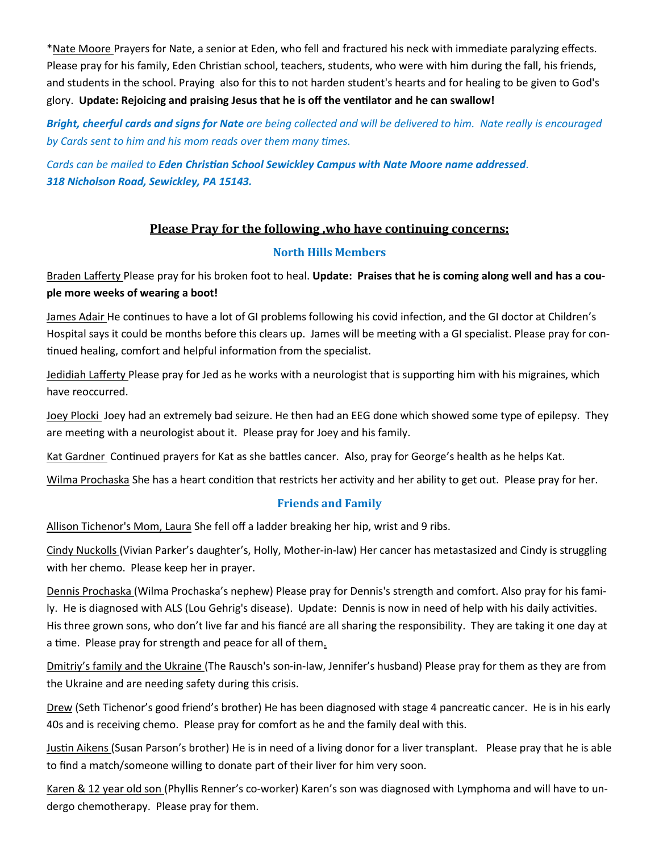\*Nate Moore Prayers for Nate, a senior at Eden, who fell and fractured his neck with immediate paralyzing effects. Please pray for his family, Eden Christian school, teachers, students, who were with him during the fall, his friends, and students in the school. Praying also for this to not harden student's hearts and for healing to be given to God's glory. **Update: Rejoicing and praising Jesus that he is off the ventilator and he can swallow!** 

*Bright, cheerful cards and signs for Nate are being collected and will be delivered to him. Nate really is encouraged by Cards sent to him and his mom reads over them many times.* 

*Cards can be mailed to Eden Christian School Sewickley Campus with Nate Moore name addressed. 318 Nicholson Road, Sewickley, PA 15143.* 

## **Please Pray for the following ,who have continuing concerns:**

## **North Hills Members**

Braden Lafferty Please pray for his broken foot to heal. **Update: Praises that he is coming along well and has a couple more weeks of wearing a boot!**

James Adair He continues to have a lot of GI problems following his covid infection, and the GI doctor at Children's Hospital says it could be months before this clears up. James will be meeting with a GI specialist. Please pray for continued healing, comfort and helpful information from the specialist.

Jedidiah Lafferty Please pray for Jed as he works with a neurologist that is supporting him with his migraines, which have reoccurred.

Joey Plocki Joey had an extremely bad seizure. He then had an EEG done which showed some type of epilepsy. They are meeting with a neurologist about it. Please pray for Joey and his family.

Kat Gardner Continued prayers for Kat as she battles cancer. Also, pray for George's health as he helps Kat.

Wilma Prochaska She has a heart condition that restricts her activity and her ability to get out. Please pray for her.

## **Friends and Family**

Allison Tichenor's Mom, Laura She fell off a ladder breaking her hip, wrist and 9 ribs.

Cindy Nuckolls (Vivian Parker's daughter's, Holly, Mother-in-law) Her cancer has metastasized and Cindy is struggling with her chemo. Please keep her in prayer.

Dennis Prochaska (Wilma Prochaska's nephew) Please pray for Dennis's strength and comfort. Also pray for his family. He is diagnosed with ALS (Lou Gehrig's disease). Update: Dennis is now in need of help with his daily activities. His three grown sons, who don't live far and his fiancé are all sharing the responsibility. They are taking it one day at a time. Please pray for strength and peace for all of them.

Dmitriy's family and the Ukraine (The Rausch's son-in-law, Jennifer's husband) Please pray for them as they are from the Ukraine and are needing safety during this crisis.

Drew (Seth Tichenor's good friend's brother) He has been diagnosed with stage 4 pancreatic cancer. He is in his early 40s and is receiving chemo. Please pray for comfort as he and the family deal with this.

Justin Aikens (Susan Parson's brother) He is in need of a living donor for a liver transplant. Please pray that he is able to find a match/someone willing to donate part of their liver for him very soon.

Karen & 12 year old son (Phyllis Renner's co-worker) Karen's son was diagnosed with Lymphoma and will have to undergo chemotherapy. Please pray for them.